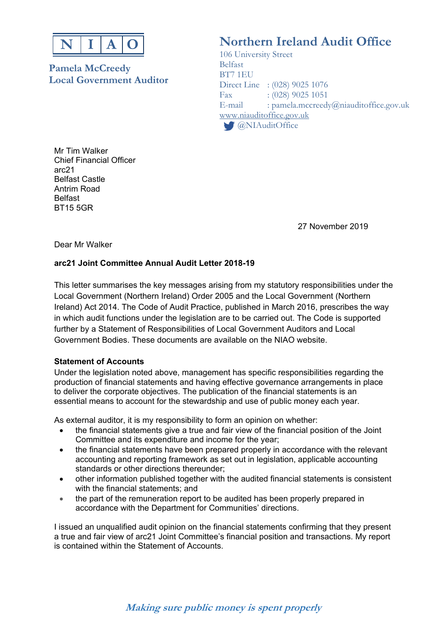

**Pamela McCreedy** Belfast BT7 1EU **Local Government Auditor** 

# **Northern Ireland Audit Office**

 106 University Street Direct Line : (028) 9025 1076 Fax : (028) 9025 1051<br>E-mail : pamela.mccreedy : pamela.mccreedy@niauditoffice.gov.uk www.niauditoffice.gov.uk **C** @NIAuditOffice

Mr Tim Walker Chief Financial Officer arc21 Belfast Castle Antrim Road Belfast BT15 5GR

27 November 2019

Dear Mr Walker

## **arc21 Joint Committee Annual Audit Letter 2018-19**

This letter summarises the key messages arising from my statutory responsibilities under the Local Government (Northern Ireland) Order 2005 and the Local Government (Northern Ireland) Act 2014. The Code of Audit Practice, published in March 2016, prescribes the way in which audit functions under the legislation are to be carried out. The Code is supported further by a Statement of Responsibilities of Local Government Auditors and Local Government Bodies. These documents are available on the NIAO website.

## **Statement of Accounts**

Under the legislation noted above, management has specific responsibilities regarding the production of financial statements and having effective governance arrangements in place to deliver the corporate objectives. The publication of the financial statements is an essential means to account for the stewardship and use of public money each year.

As external auditor, it is my responsibility to form an opinion on whether:

- the financial statements give a true and fair view of the financial position of the Joint Committee and its expenditure and income for the year;
- the financial statements have been prepared properly in accordance with the relevant accounting and reporting framework as set out in legislation, applicable accounting standards or other directions thereunder;
- other information published together with the audited financial statements is consistent with the financial statements; and
- the part of the remuneration report to be audited has been properly prepared in accordance with the Department for Communities' directions.

I issued an unqualified audit opinion on the financial statements confirming that they present a true and fair view of arc21 Joint Committee's financial position and transactions. My report is contained within the Statement of Accounts.